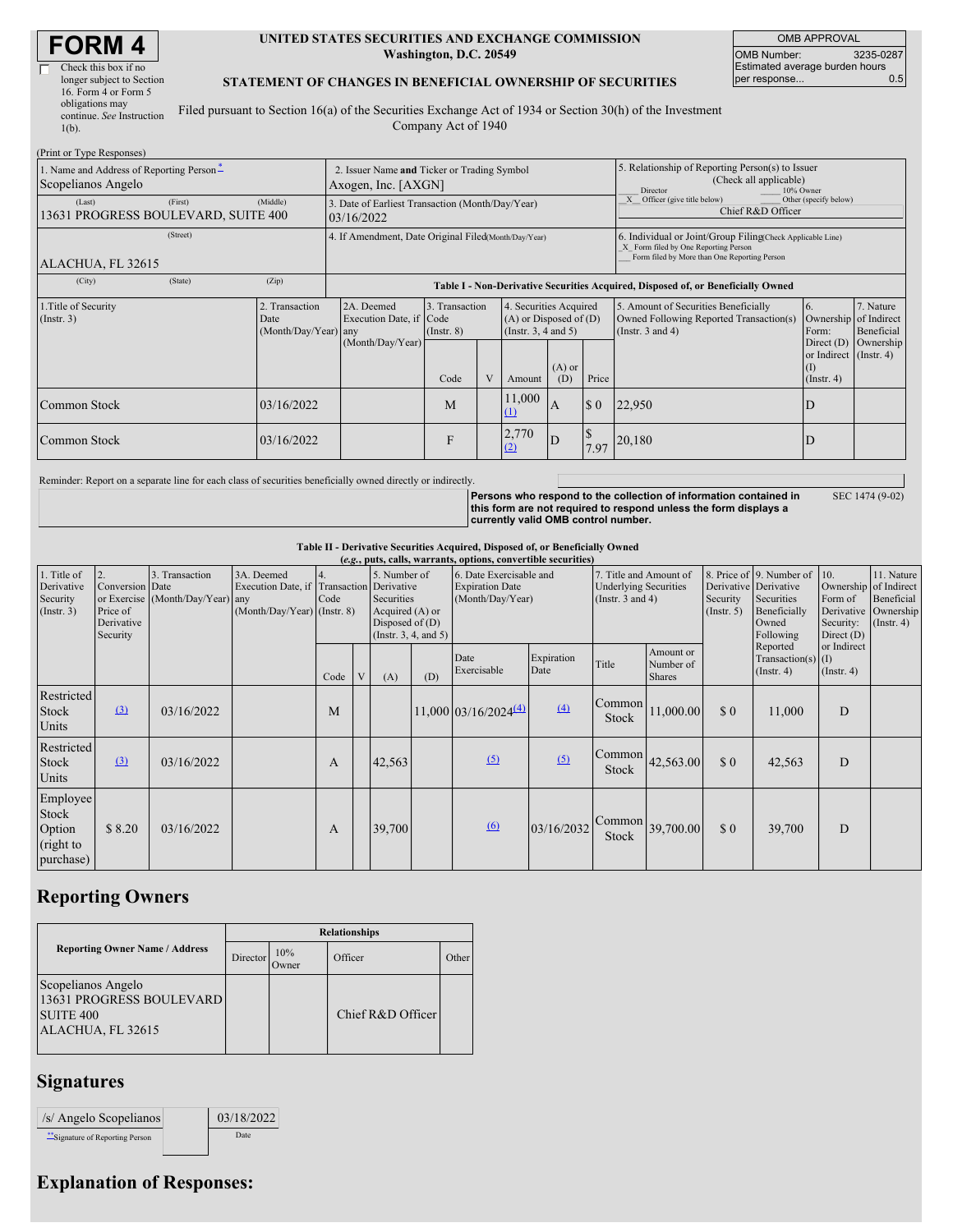# **FORM 4**

(Print or Type Responses)

| Check this box if no      |
|---------------------------|
| longer subject to Section |
| 16. Form 4 or Form 5      |
| obligations may           |
| continue. See Instruction |
| $1(b)$ .                  |
|                           |

#### **UNITED STATES SECURITIES AND EXCHANGE COMMISSION Washington, D.C. 20549**

OMB APPROVAL OMB Number: 3235-0287 Estimated average burden hours<br>per response... 0.5 per response...

#### **STATEMENT OF CHANGES IN BENEFICIAL OWNERSHIP OF SECURITIES**

Filed pursuant to Section 16(a) of the Securities Exchange Act of 1934 or Section 30(h) of the Investment Company Act of 1940

| (FILIII OI 1 ype Responses)<br>1. Name and Address of Reporting Person-<br>Scopelianos Angelo |          | 2. Issuer Name and Ticker or Trading Symbol<br>Axogen, Inc. [AXGN] |                                                                                  |                                   |  |                                                                                  |                                                                          | 5. Relationship of Reporting Person(s) to Issuer<br>(Check all applicable)<br>10% Owner<br>Director                                                |                                                                                                          |                                                                   |                         |
|-----------------------------------------------------------------------------------------------|----------|--------------------------------------------------------------------|----------------------------------------------------------------------------------|-----------------------------------|--|----------------------------------------------------------------------------------|--------------------------------------------------------------------------|----------------------------------------------------------------------------------------------------------------------------------------------------|----------------------------------------------------------------------------------------------------------|-------------------------------------------------------------------|-------------------------|
| (Last)<br>13631 PROGRESS BOULEVARD, SUITE 400                                                 | (Middle) | 3. Date of Earliest Transaction (Month/Day/Year)<br>03/16/2022     |                                                                                  |                                   |  |                                                                                  | Officer (give title below)<br>Other (specify below)<br>Chief R&D Officer |                                                                                                                                                    |                                                                                                          |                                                                   |                         |
| ALACHUA, FL 32615                                                                             |          | 4. If Amendment, Date Original Filed(Month/Day/Year)               |                                                                                  |                                   |  |                                                                                  |                                                                          | 6. Individual or Joint/Group Filing(Check Applicable Line)<br>X Form filed by One Reporting Person<br>Form filed by More than One Reporting Person |                                                                                                          |                                                                   |                         |
| (City)                                                                                        | (State)  | (Zip)                                                              | Table I - Non-Derivative Securities Acquired, Disposed of, or Beneficially Owned |                                   |  |                                                                                  |                                                                          |                                                                                                                                                    |                                                                                                          |                                                                   |                         |
| 1. Title of Security<br>$($ Instr. 3 $)$<br>Date                                              |          | 2. Transaction<br>(Month/Day/Year) any                             | 2A. Deemed<br>Execution Date, if Code                                            | 3. Transaction<br>$($ Instr. $8)$ |  | 4. Securities Acquired<br>$(A)$ or Disposed of $(D)$<br>(Instr. $3, 4$ and $5$ ) |                                                                          |                                                                                                                                                    | 5. Amount of Securities Beneficially<br>Owned Following Reported Transaction(s)<br>(Instr. $3$ and $4$ ) | Ownership of Indirect<br>Form:                                    | 7. Nature<br>Beneficial |
|                                                                                               |          |                                                                    | (Month/Day/Year)                                                                 | Code                              |  | Amount                                                                           | $(A)$ or<br>(D)                                                          | Price                                                                                                                                              |                                                                                                          | Direct $(D)$<br>or Indirect (Instr. 4)<br>(I)<br>$($ Instr. 4 $)$ | Ownership               |
| Common Stock                                                                                  |          | 03/16/2022                                                         |                                                                                  | M                                 |  | 11,000<br>$\mathbf{u}$                                                           | A                                                                        | $\sqrt{3}0$                                                                                                                                        | 22,950                                                                                                   | D                                                                 |                         |
| Common Stock<br>03/16/2022                                                                    |          |                                                                    |                                                                                  | F                                 |  | 2,770<br>(2)                                                                     | ID                                                                       | 7.97                                                                                                                                               | 20,180                                                                                                   | D                                                                 |                         |

Reminder: Report on a separate line for each class of securities beneficially owned directly or indirectly.

**Persons who respond to the collection of information contained in this form are not required to respond unless the form displays a currently valid OMB control number.** SEC 1474 (9-02)

**Table II - Derivative Securities Acquired, Disposed of, or Beneficially Owned**

| (e.g., puts, calls, warrants, options, convertible securities) |                                                             |                                                    |                                                                                          |            |  |                                                                    |                      |                                                                       |                    |                                                                                 |                                         |                              |                                                                                                           |                                                                             |                                                           |
|----------------------------------------------------------------|-------------------------------------------------------------|----------------------------------------------------|------------------------------------------------------------------------------------------|------------|--|--------------------------------------------------------------------|----------------------|-----------------------------------------------------------------------|--------------------|---------------------------------------------------------------------------------|-----------------------------------------|------------------------------|-----------------------------------------------------------------------------------------------------------|-----------------------------------------------------------------------------|-----------------------------------------------------------|
| 1. Title of<br>Derivative<br>Security<br>(Insert. 3)           | 2.<br>Conversion Date<br>Price of<br>Derivative<br>Security | 3. Transaction<br>or Exercise (Month/Day/Year) any | 3A. Deemed<br>Execution Date, if Transaction Derivative<br>$(Month/Day/Year)$ (Instr. 8) | 4.<br>Code |  | 5. Number of<br>Securities<br>Acquired (A) or<br>Disposed of $(D)$ | (Instr. 3, 4, and 5) | 6. Date Exercisable and<br><b>Expiration Date</b><br>(Month/Day/Year) |                    | 7. Title and Amount of<br><b>Underlying Securities</b><br>(Instr. $3$ and $4$ ) |                                         | Security<br>$($ Instr. 5 $)$ | 8. Price of 9. Number of 10.<br>Derivative Derivative<br>Securities<br>Beneficially<br>Owned<br>Following | Ownership of Indirect<br>Form of<br>Derivative<br>Security:<br>Direct $(D)$ | 11. Nature<br>Beneficial<br>Ownership<br>$($ Instr. 4 $)$ |
|                                                                |                                                             |                                                    |                                                                                          | Code       |  | (A)                                                                | (D)                  | Date<br>Exercisable                                                   | Expiration<br>Date | Title                                                                           | Amount or<br>Number of<br><b>Shares</b> |                              | Reported<br>Transaction(s) $(I)$<br>$($ Instr. 4 $)$                                                      | or Indirect<br>$($ Instr. 4 $)$                                             |                                                           |
| Restricted<br>Stock<br>Units                                   | $\left(3\right)$                                            | 03/16/2022                                         |                                                                                          | M          |  |                                                                    |                      | $11,000$ 03/16/2024 <sup>(4)</sup>                                    | (4)                | Common<br>Stock                                                                 | 11,000.00                               | \$0                          | 11,000                                                                                                    | D                                                                           |                                                           |
| Restricted<br>Stock<br>Units                                   | $\left(3\right)$                                            | 03/16/2022                                         |                                                                                          | A          |  | 42,563                                                             |                      | $\sqrt{2}$                                                            | (5)                | Common<br><b>Stock</b>                                                          | 42,563.00                               | $\Omega$                     | 42,563                                                                                                    | D                                                                           |                                                           |
| Employee<br>Stock<br>Option<br>(right to<br>purchase)          | \$8.20                                                      | 03/16/2022                                         |                                                                                          | A          |  | 39,700                                                             |                      | 6                                                                     | 03/16/2032         | Common<br><b>Stock</b>                                                          | 39,700.00                               | $\Omega$                     | 39,700                                                                                                    | D                                                                           |                                                           |

## **Reporting Owners**

|                                                                                         | <b>Relationships</b>  |               |                   |       |  |  |  |  |
|-----------------------------------------------------------------------------------------|-----------------------|---------------|-------------------|-------|--|--|--|--|
| <b>Reporting Owner Name / Address</b>                                                   | Director <sup>'</sup> | 10%<br>Dwner) | Officer           | Other |  |  |  |  |
| Scopelianos Angelo<br>13631 PROGRESS BOULEVARD<br><b>SUITE 400</b><br>ALACHUA, FL 32615 |                       |               | Chief R&D Officer |       |  |  |  |  |

#### **Signatures**

| /s/ Angelo Scopelianos        | 03/18/2022  |
|-------------------------------|-------------|
| Signature of Reporting Person | <b>Date</b> |

### **Explanation of Responses:**